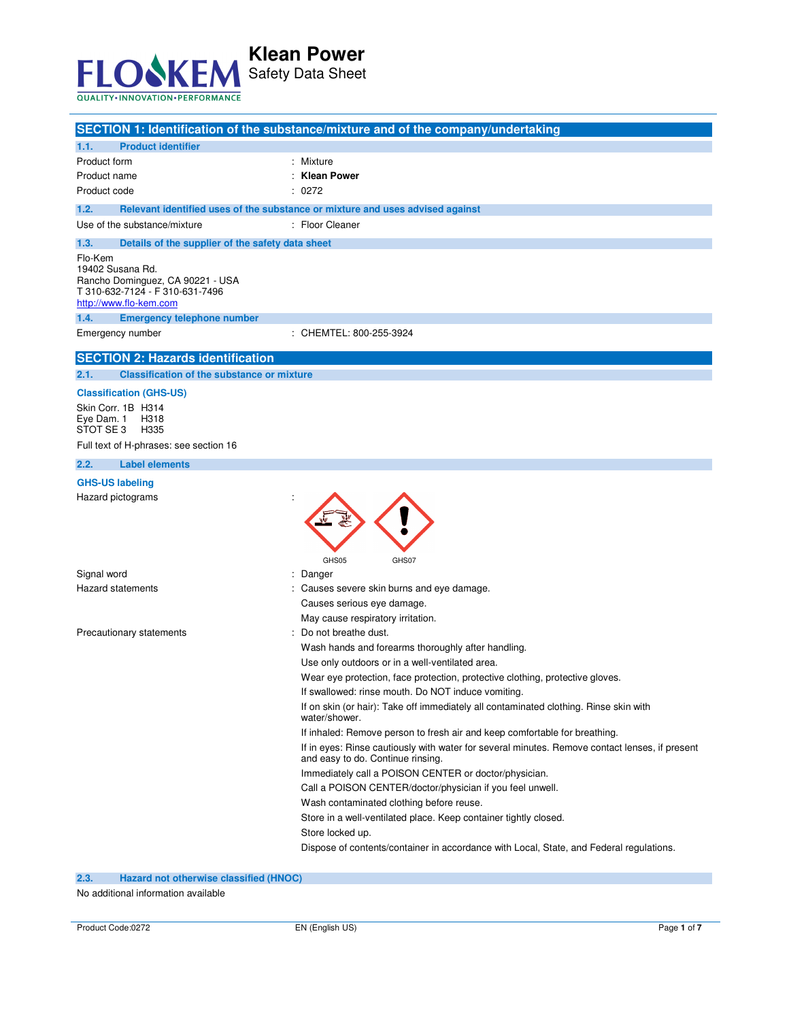

|                                                                                                                                     | SECTION 1: Identification of the substance/mixture and of the company/undertaking                      |  |
|-------------------------------------------------------------------------------------------------------------------------------------|--------------------------------------------------------------------------------------------------------|--|
| <b>Product identifier</b><br>1.1.                                                                                                   |                                                                                                        |  |
| Product form                                                                                                                        | : Mixture                                                                                              |  |
| Product name                                                                                                                        | <b>Klean Power</b>                                                                                     |  |
| Product code                                                                                                                        | : 0272                                                                                                 |  |
| 1.2.                                                                                                                                | Relevant identified uses of the substance or mixture and uses advised against                          |  |
| Use of the substance/mixture                                                                                                        | : Floor Cleaner                                                                                        |  |
| 1.3.<br>Details of the supplier of the safety data sheet                                                                            |                                                                                                        |  |
| Flo-Kem<br>19402 Susana Rd.<br>Rancho Dominguez, CA 90221 - USA<br>T 310-632-7124 - F 310-631-7496<br>http://www.flo-kem.com        |                                                                                                        |  |
| 1.4.<br><b>Emergency telephone number</b>                                                                                           |                                                                                                        |  |
| Emergency number                                                                                                                    | : CHEMTEL: 800-255-3924                                                                                |  |
| <b>SECTION 2: Hazards identification</b>                                                                                            |                                                                                                        |  |
| <b>Classification of the substance or mixture</b><br>2.1.                                                                           |                                                                                                        |  |
| <b>Classification (GHS-US)</b>                                                                                                      |                                                                                                        |  |
| Skin Corr. 1B H314<br>Eye Dam. 1<br>H318<br>STOT SE3<br>H335                                                                        |                                                                                                        |  |
| Full text of H-phrases: see section 16                                                                                              |                                                                                                        |  |
| 2.2.<br><b>Label elements</b>                                                                                                       |                                                                                                        |  |
| <b>GHS-US labeling</b><br>Hazard pictograms                                                                                         |                                                                                                        |  |
| Signal word                                                                                                                         | GHS05<br>GHS07<br>Danger                                                                               |  |
| Hazard statements                                                                                                                   | Causes severe skin burns and eye damage.                                                               |  |
|                                                                                                                                     | Causes serious eye damage.                                                                             |  |
|                                                                                                                                     | May cause respiratory irritation.                                                                      |  |
| Precautionary statements                                                                                                            | : Do not breathe dust.                                                                                 |  |
|                                                                                                                                     | Wash hands and forearms thoroughly after handling.                                                     |  |
|                                                                                                                                     | Use only outdoors or in a well-ventilated area.                                                        |  |
|                                                                                                                                     | Wear eye protection, face protection, protective clothing, protective gloves.                          |  |
|                                                                                                                                     | If swallowed: rinse mouth. Do NOT induce vomiting.                                                     |  |
|                                                                                                                                     | If on skin (or hair): Take off immediately all contaminated clothing. Rinse skin with<br>water/shower. |  |
|                                                                                                                                     | If inhaled: Remove person to fresh air and keep comfortable for breathing.                             |  |
| If in eyes: Rinse cautiously with water for several minutes. Remove contact lenses, if present<br>and easy to do. Continue rinsing. |                                                                                                        |  |
|                                                                                                                                     | Immediately call a POISON CENTER or doctor/physician.                                                  |  |
|                                                                                                                                     | Call a POISON CENTER/doctor/physician if you feel unwell.                                              |  |
|                                                                                                                                     | Wash contaminated clothing before reuse.                                                               |  |
|                                                                                                                                     | Store in a well-ventilated place. Keep container tightly closed.                                       |  |
|                                                                                                                                     | Store locked up.                                                                                       |  |
|                                                                                                                                     | Dispose of contents/container in accordance with Local, State, and Federal regulations.                |  |
| 2.3.<br>Hazard not otherwise classified (HNOC)                                                                                      |                                                                                                        |  |

No additional information available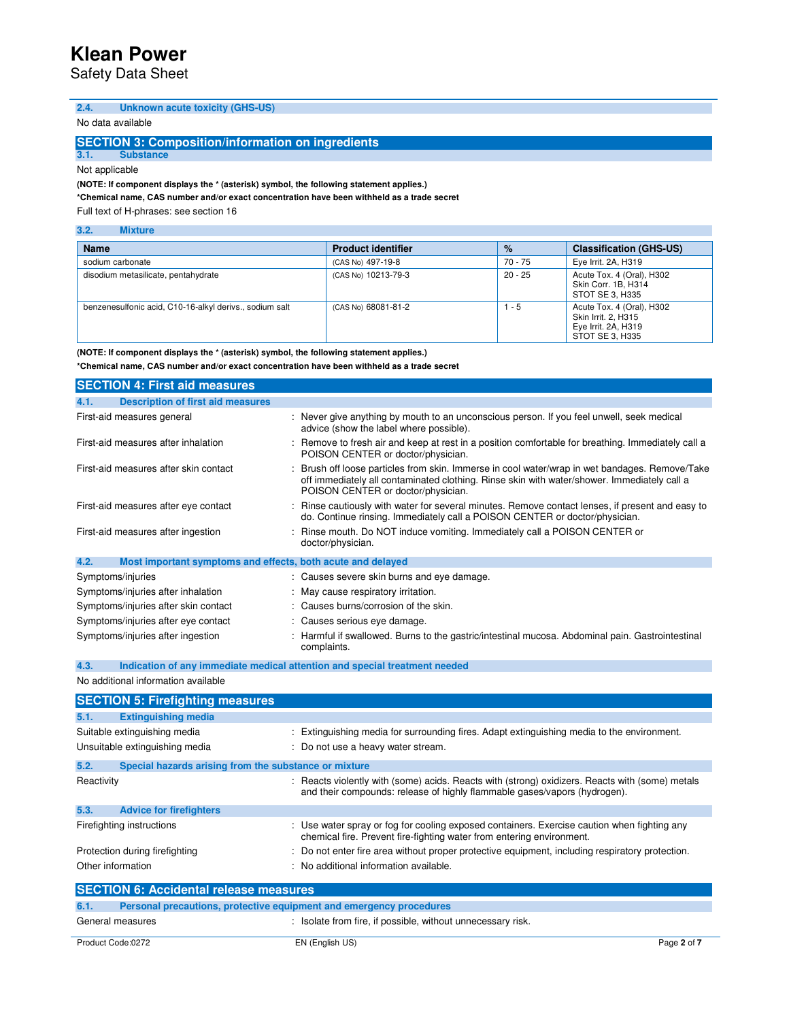Safety Data Sheet

| 2.4. |  |  |  | <b>Unknown acute toxicity (GHS-US)</b> |
|------|--|--|--|----------------------------------------|
|------|--|--|--|----------------------------------------|

### No data available

#### **SECTION 3: Composition/information on ingredients**

**3.1. Substance** 

Not applicable

**(NOTE: If component displays the \* (asterisk) symbol, the following statement applies.)** 

**\*Chemical name, CAS number and/or exact concentration have been withheld as a trade secret** 

Full text of H-phrases: see section 16

| 3.2.<br><b>Mixture</b>                                  |                           |           |                                                                                            |
|---------------------------------------------------------|---------------------------|-----------|--------------------------------------------------------------------------------------------|
| <b>Name</b>                                             | <b>Product identifier</b> | $\%$      | <b>Classification (GHS-US)</b>                                                             |
| sodium carbonate                                        | (CAS No) 497-19-8         | 70 - 75   | Eye Irrit. 2A, H319                                                                        |
| disodium metasilicate, pentahydrate                     | (CAS No) 10213-79-3       | $20 - 25$ | Acute Tox. 4 (Oral), H302<br>Skin Corr. 1B. H314<br>STOT SE 3, H335                        |
| benzenesulfonic acid, C10-16-alkyl derivs., sodium salt | (CAS No) 68081-81-2       | l - 5     | Acute Tox. 4 (Oral), H302<br>Skin Irrit. 2, H315<br>Eye Irrit. 2A, H319<br>STOT SE 3. H335 |

**(NOTE: If component displays the \* (asterisk) symbol, the following statement applies.)** 

**\*Chemical name, CAS number and/or exact concentration have been withheld as a trade secret**

| <b>SECTION 4: First aid measures</b>                                |                                                                                                                                                                                                                                   |
|---------------------------------------------------------------------|-----------------------------------------------------------------------------------------------------------------------------------------------------------------------------------------------------------------------------------|
| <b>Description of first aid measures</b><br>4.1.                    |                                                                                                                                                                                                                                   |
| First-aid measures general                                          | : Never give anything by mouth to an unconscious person. If you feel unwell, seek medical<br>advice (show the label where possible).                                                                                              |
| First-aid measures after inhalation                                 | Remove to fresh air and keep at rest in a position comfortable for breathing. Immediately call a<br>POISON CENTER or doctor/physician.                                                                                            |
| First-aid measures after skin contact                               | Brush off loose particles from skin. Immerse in cool water/wrap in wet bandages. Remove/Take<br>off immediately all contaminated clothing. Rinse skin with water/shower. Immediately call a<br>POISON CENTER or doctor/physician. |
| First-aid measures after eye contact                                | : Rinse cautiously with water for several minutes. Remove contact lenses, if present and easy to<br>do. Continue rinsing. Immediately call a POISON CENTER or doctor/physician.                                                   |
| First-aid measures after ingestion                                  | Rinse mouth. Do NOT induce vomiting. Immediately call a POISON CENTER or<br>doctor/physician.                                                                                                                                     |
| 4.2.<br>Most important symptoms and effects, both acute and delayed |                                                                                                                                                                                                                                   |
| Symptoms/injuries                                                   | : Causes severe skin burns and eye damage.                                                                                                                                                                                        |
| Symptoms/injuries after inhalation                                  | : May cause respiratory irritation.                                                                                                                                                                                               |
| Symptoms/injuries after skin contact                                | : Causes burns/corrosion of the skin.                                                                                                                                                                                             |
| Symptoms/injuries after eye contact                                 | : Causes serious eye damage.                                                                                                                                                                                                      |
| Symptoms/injuries after ingestion                                   | : Harmful if swallowed. Burns to the gastric/intestinal mucosa. Abdominal pain. Gastrointestinal<br>complaints.                                                                                                                   |

**4.3. Indication of any immediate medical attention and special treatment needed** 

No additional information available

|            | <b>SECTION 5: Firefighting measures</b>                             |                                                                                                                                                                              |
|------------|---------------------------------------------------------------------|------------------------------------------------------------------------------------------------------------------------------------------------------------------------------|
| 5.1.       | <b>Extinguishing media</b>                                          |                                                                                                                                                                              |
|            | Suitable extinguishing media<br>Unsuitable extinguishing media      | : Extinguishing media for surrounding fires. Adapt extinguishing media to the environment.<br>: Do not use a heavy water stream.                                             |
| 5.2.       | Special hazards arising from the substance or mixture               |                                                                                                                                                                              |
| Reactivity |                                                                     | : Reacts violently with (some) acids. Reacts with (strong) oxidizers. Reacts with (some) metals<br>and their compounds: release of highly flammable gases/vapors (hydrogen). |
| 5.3.       | <b>Advice for firefighters</b>                                      |                                                                                                                                                                              |
|            | Firefighting instructions                                           | : Use water spray or fog for cooling exposed containers. Exercise caution when fighting any<br>chemical fire. Prevent fire-fighting water from entering environment.         |
|            | Protection during firefighting                                      | : Do not enter fire area without proper protective equipment, including respiratory protection.                                                                              |
|            | Other information                                                   | : No additional information available.                                                                                                                                       |
|            | <b>SECTION 6: Accidental release measures</b>                       |                                                                                                                                                                              |
| 6.1.       | Personal precautions, protective equipment and emergency procedures |                                                                                                                                                                              |
| $\sim$     |                                                                     | $\cdot$ $\cdot$                                                                                                                                                              |

| General measures  | Isolate from fire, if possible, without unnecessary risk. |             |
|-------------------|-----------------------------------------------------------|-------------|
| Product Code:0272 | EN (English US)                                           | Page 2 of 7 |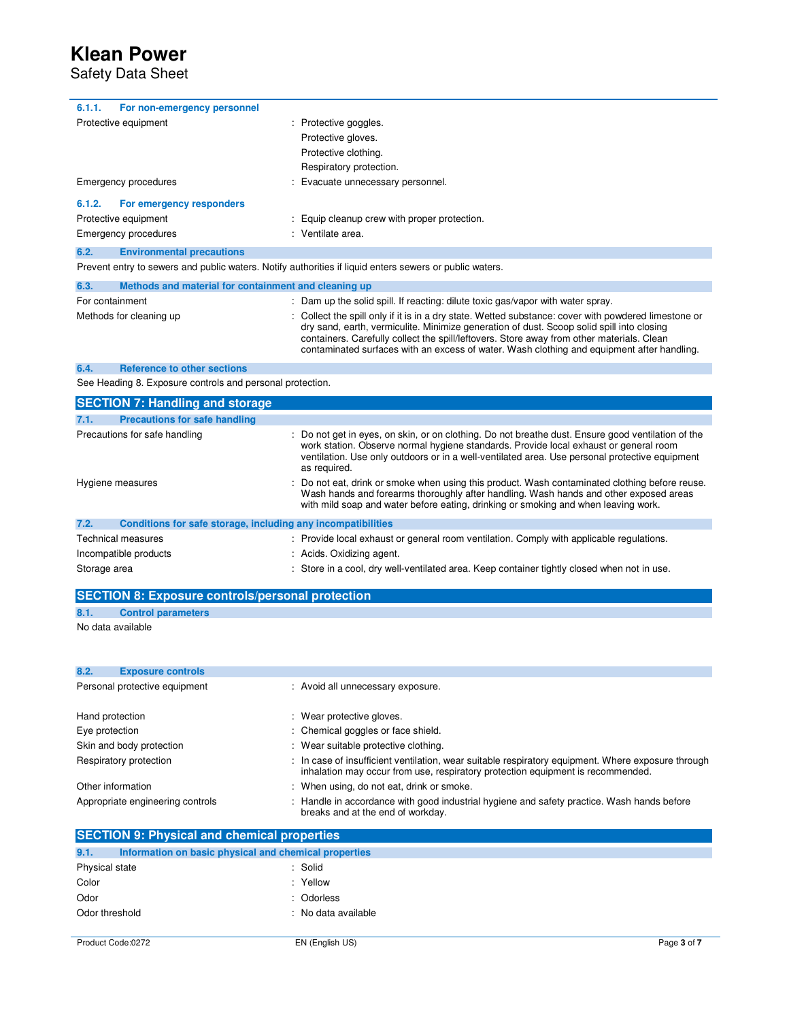Safety Data Sheet

| For non-emergency personnel<br>6.1.1.    |                                                                                                         |
|------------------------------------------|---------------------------------------------------------------------------------------------------------|
| Protective equipment                     | : Protective goggles.                                                                                   |
|                                          | Protective gloves.                                                                                      |
|                                          | Protective clothing.                                                                                    |
|                                          | Respiratory protection.                                                                                 |
| Emergency procedures                     | : Evacuate unnecessary personnel.                                                                       |
| For emergency responders<br>6.1.2.       |                                                                                                         |
| Protective equipment                     | : Equip cleanup crew with proper protection.                                                            |
| Emergency procedures                     | : Ventilate area.                                                                                       |
| <b>Environmental precautions</b><br>6.2. |                                                                                                         |
|                                          | Prevent entry to sewers and public waters. Notify authorities if liquid enters sewers or public waters. |

| 6.3.            | Methods and material for containment and cleaning up |  |                                                                                                                                                                                                                                                                                                                                                                                              |
|-----------------|------------------------------------------------------|--|----------------------------------------------------------------------------------------------------------------------------------------------------------------------------------------------------------------------------------------------------------------------------------------------------------------------------------------------------------------------------------------------|
| For containment |                                                      |  | : Dam up the solid spill. If reacting: dilute toxic gas/vapor with water spray.                                                                                                                                                                                                                                                                                                              |
|                 | Methods for cleaning up                              |  | : Collect the spill only if it is in a dry state. Wetted substance: cover with powdered limestone or<br>dry sand, earth, vermiculite. Minimize generation of dust. Scoop solid spill into closing<br>containers. Carefully collect the spill/leftovers. Store away from other materials. Clean<br>contaminated surfaces with an excess of water. Wash clothing and equipment after handling. |

### **6.4. Reference to other sections**

See Heading 8. Exposure controls and personal protection.

| <b>SECTION 7: Handling and storage</b>                               |                                                                                                                                                                                                                                                                                                               |  |
|----------------------------------------------------------------------|---------------------------------------------------------------------------------------------------------------------------------------------------------------------------------------------------------------------------------------------------------------------------------------------------------------|--|
| 7.1.<br><b>Precautions for safe handling</b>                         |                                                                                                                                                                                                                                                                                                               |  |
| Precautions for safe handling                                        | : Do not get in eyes, on skin, or on clothing. Do not breathe dust. Ensure good ventilation of the<br>work station. Observe normal hygiene standards. Provide local exhaust or general room<br>ventilation. Use only outdoors or in a well-ventilated area. Use personal protective equipment<br>as required. |  |
| Hygiene measures                                                     | : Do not eat, drink or smoke when using this product. Wash contaminated clothing before reuse.<br>Wash hands and forearms thoroughly after handling. Wash hands and other exposed areas<br>with mild soap and water before eating, drinking or smoking and when leaving work.                                 |  |
| 7.2.<br>Conditions for safe storage, including any incompatibilities |                                                                                                                                                                                                                                                                                                               |  |
| <b>Technical measures</b>                                            | : Provide local exhaust or general room ventilation. Comply with applicable regulations.                                                                                                                                                                                                                      |  |
| Incompatible products                                                | : Acids. Oxidizing agent.                                                                                                                                                                                                                                                                                     |  |
| Storage area                                                         | : Store in a cool, dry well-ventilated area. Keep container tightly closed when not in use.                                                                                                                                                                                                                   |  |

## **SECTION 8: Exposure controls/personal protection 8.1. Control parameters**

### No data available

| 8.2. | <b>Exposure controls</b>         |                                                                                                                                                                                       |
|------|----------------------------------|---------------------------------------------------------------------------------------------------------------------------------------------------------------------------------------|
|      | Personal protective equipment    | : Avoid all unnecessary exposure.                                                                                                                                                     |
|      | Hand protection                  | : Wear protective gloves.                                                                                                                                                             |
|      | Eye protection                   | : Chemical goggles or face shield.                                                                                                                                                    |
|      | Skin and body protection         | : Wear suitable protective clothing.                                                                                                                                                  |
|      | Respiratory protection           | : In case of insufficient ventilation, wear suitable respiratory equipment. Where exposure through<br>inhalation may occur from use, respiratory protection equipment is recommended. |
|      | Other information                | : When using, do not eat, drink or smoke.                                                                                                                                             |
|      | Appropriate engineering controls | : Handle in accordance with good industrial hygiene and safety practice. Wash hands before<br>breaks and at the end of workday.                                                       |

| <b>SECTION 9: Physical and chemical properties</b> |                                                       |             |  |  |
|----------------------------------------------------|-------------------------------------------------------|-------------|--|--|
| 9.1.                                               | Information on basic physical and chemical properties |             |  |  |
| Physical state                                     | : Solid                                               |             |  |  |
| Color                                              | : Yellow                                              |             |  |  |
| Odor                                               | : Odorless                                            |             |  |  |
| Odor threshold                                     | : No data available                                   |             |  |  |
|                                                    |                                                       |             |  |  |
| Product Code:0272                                  | EN (English US)                                       | Page 3 of 7 |  |  |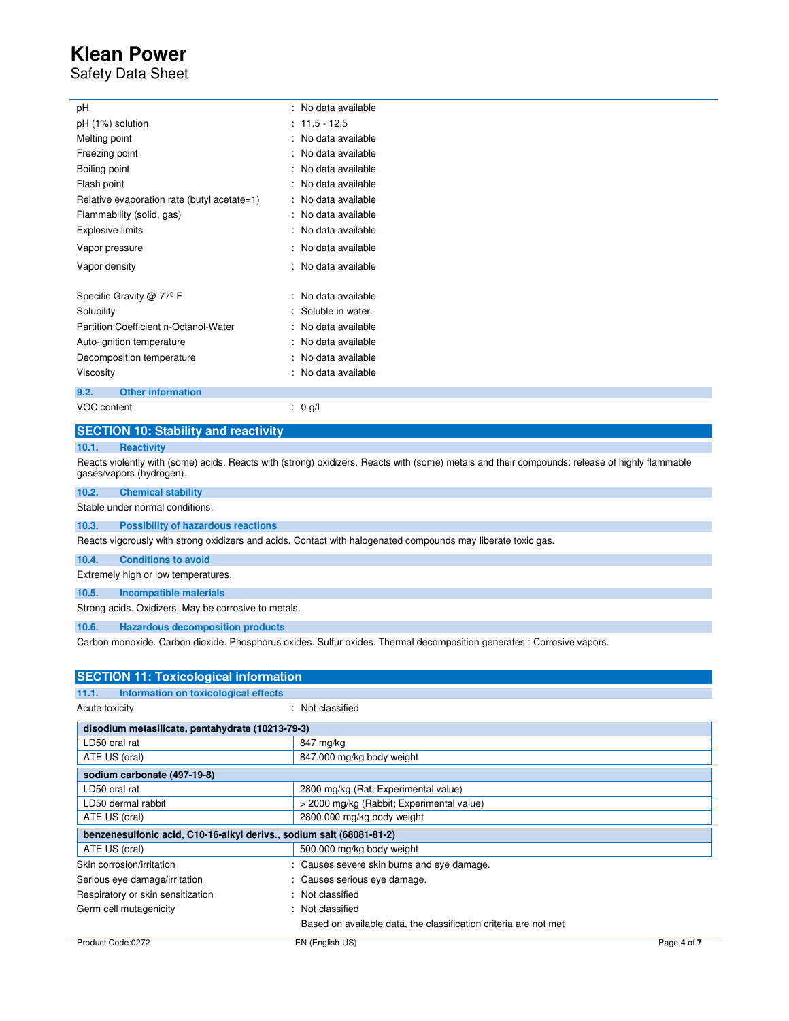## Safety Data Sheet

| рH                                          |   | $\therefore$ No data available |
|---------------------------------------------|---|--------------------------------|
| pH (1%) solution                            |   | $11.5 - 12.5$                  |
| Melting point                               |   | No data available              |
| Freezing point                              | t | No data available              |
| Boiling point                               |   | No data available              |
| Flash point                                 |   | No data available              |
| Relative evaporation rate (butyl acetate=1) |   | No data available              |
| Flammability (solid, gas)                   |   | No data available              |
| <b>Explosive limits</b>                     |   | No data available              |
| Vapor pressure                              |   | No data available              |
| Vapor density                               |   | No data available              |
|                                             |   | No data available              |
| Specific Gravity @ 77 <sup>°</sup> F        |   |                                |
| Solubility                                  |   | Soluble in water.              |
| Partition Coefficient n-Octanol-Water       |   | No data available              |
| Auto-ignition temperature                   |   | No data available              |
| Decomposition temperature                   |   | No data available              |
| Viscosity                                   |   | No data available              |
| <b>Other information</b><br>9.2.            |   |                                |
| VOC content                                 |   | 0 g/l                          |
|                                             |   |                                |

### **SECTION 10: Stability and reactivity**

### **10.1. Reactivity**

Reacts violently with (some) acids. Reacts with (strong) oxidizers. Reacts with (some) metals and their compounds: release of highly flammable gases/vapors (hydrogen).

| 10.2. | <b>Chemical stability</b> |  |
|-------|---------------------------|--|
|       |                           |  |

Stable under normal conditions.

### **10.3. Possibility of hazardous reactions**

Reacts vigorously with strong oxidizers and acids. Contact with halogenated compounds may liberate toxic gas.

### **10.4. Conditions to avoid**

Extremely high or low temperatures.

### **10.5. Incompatible materials**

Strong acids. Oxidizers. May be corrosive to metals.

**10.6. Hazardous decomposition products** 

Carbon monoxide. Carbon dioxide. Phosphorus oxides. Sulfur oxides. Thermal decomposition generates : Corrosive vapors.

| <b>SECTION 11: Toxicological information</b>                         |                                                                  |             |
|----------------------------------------------------------------------|------------------------------------------------------------------|-------------|
| Information on toxicological effects<br>11.1.                        |                                                                  |             |
| Acute toxicity                                                       | : Not classified                                                 |             |
| disodium metasilicate, pentahydrate (10213-79-3)                     |                                                                  |             |
| LD50 oral rat                                                        | 847 mg/kg                                                        |             |
| ATE US (oral)                                                        | 847.000 mg/kg body weight                                        |             |
| sodium carbonate (497-19-8)                                          |                                                                  |             |
| LD50 oral rat                                                        | 2800 mg/kg (Rat; Experimental value)                             |             |
| LD50 dermal rabbit                                                   | > 2000 mg/kg (Rabbit; Experimental value)                        |             |
| ATE US (oral)                                                        | 2800.000 mg/kg body weight                                       |             |
| benzenesulfonic acid, C10-16-alkyl derivs., sodium salt (68081-81-2) |                                                                  |             |
| ATE US (oral)                                                        | 500.000 mg/kg body weight                                        |             |
| Skin corrosion/irritation                                            | : Causes severe skin burns and eye damage.                       |             |
| Serious eye damage/irritation                                        | : Causes serious eye damage.                                     |             |
| Respiratory or skin sensitization                                    | : Not classified                                                 |             |
| Germ cell mutagenicity                                               | : Not classified                                                 |             |
|                                                                      | Based on available data, the classification criteria are not met |             |
| Product Code:0272                                                    | EN (English US)                                                  | Page 4 of 7 |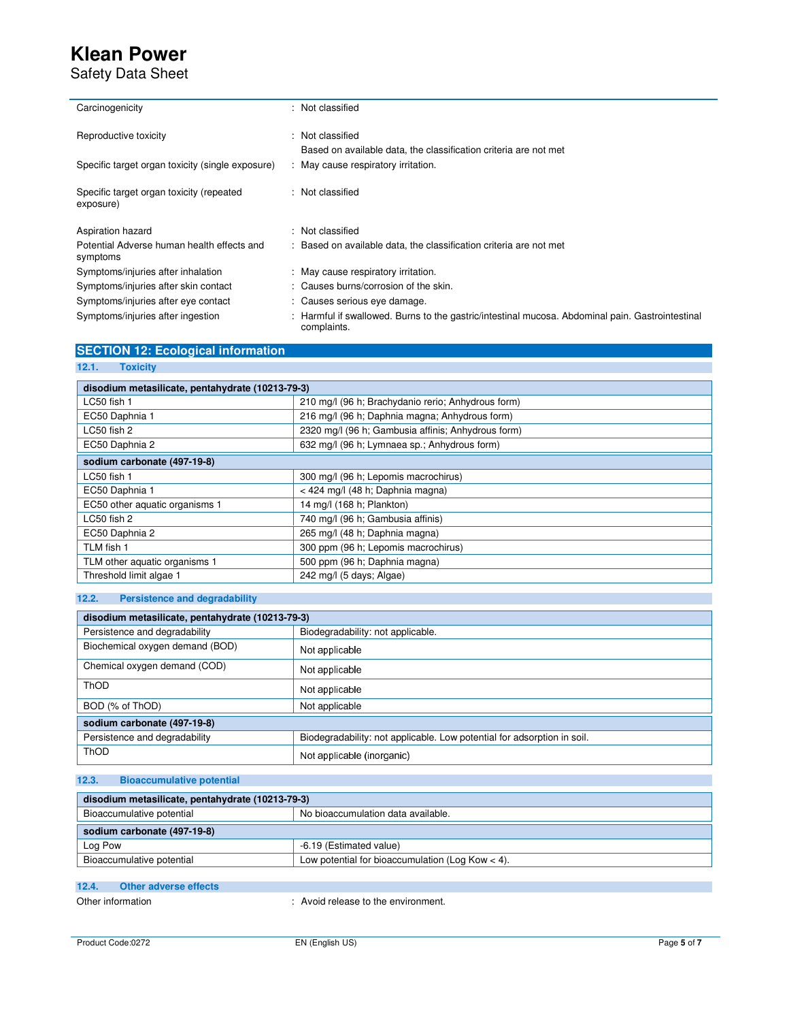Safety Data Sheet

| Carcinogenicity                                        | ۰. | Not classified                                                                                                |
|--------------------------------------------------------|----|---------------------------------------------------------------------------------------------------------------|
| Reproductive toxicity                                  | t. | Not classified                                                                                                |
|                                                        |    | Based on available data, the classification criteria are not met                                              |
| Specific target organ toxicity (single exposure)       |    | : May cause respiratory irritation.                                                                           |
| Specific target organ toxicity (repeated<br>exposure)  |    | : Not classified                                                                                              |
|                                                        |    |                                                                                                               |
| Aspiration hazard                                      |    | : Not classified                                                                                              |
| Potential Adverse human health effects and<br>symptoms |    | : Based on available data, the classification criteria are not met                                            |
| Symptoms/injuries after inhalation                     |    | : May cause respiratory irritation.                                                                           |
| Symptoms/injuries after skin contact                   |    | : Causes burns/corrosion of the skin.                                                                         |
| Symptoms/injuries after eye contact                    |    | : Causes serious eye damage.                                                                                  |
| Symptoms/injuries after ingestion                      |    | Harmful if swallowed. Burns to the gastric/intestinal mucosa. Abdominal pain. Gastrointestinal<br>complaints. |

| <b>SECTION 12: Ecological information</b> |  |  |
|-------------------------------------------|--|--|
|                                           |  |  |
|                                           |  |  |

### **12.1. Toxicity**

| disodium metasilicate, pentahydrate (10213-79-3) |                                                    |  |
|--------------------------------------------------|----------------------------------------------------|--|
| LC50 fish 1                                      | 210 mg/l (96 h; Brachydanio rerio; Anhydrous form) |  |
| EC50 Daphnia 1                                   | 216 mg/l (96 h; Daphnia magna; Anhydrous form)     |  |
| LC50 fish 2                                      | 2320 mg/l (96 h; Gambusia affinis; Anhydrous form) |  |
| EC50 Daphnia 2                                   | 632 mg/l (96 h; Lymnaea sp.; Anhydrous form)       |  |
| sodium carbonate (497-19-8)                      |                                                    |  |
| LC50 fish 1                                      | 300 mg/l (96 h; Lepomis macrochirus)               |  |
| EC50 Daphnia 1                                   | < 424 mg/l (48 h; Daphnia magna)                   |  |
| EC50 other aquatic organisms 1                   | 14 mg/l (168 h; Plankton)                          |  |
| LC50 fish 2                                      | 740 mg/l (96 h; Gambusia affinis)                  |  |
| EC50 Daphnia 2                                   | 265 mg/l (48 h; Daphnia magna)                     |  |
| TLM fish 1                                       | 300 ppm (96 h; Lepomis macrochirus)                |  |
| TLM other aquatic organisms 1                    | 500 ppm (96 h; Daphnia magna)                      |  |
| Threshold limit algae 1                          | 242 mg/l (5 days; Algae)                           |  |

## **12.2. Persistence and degradability**

| disodium metasilicate, pentahydrate (10213-79-3) |                                                                         |  |
|--------------------------------------------------|-------------------------------------------------------------------------|--|
| Persistence and degradability                    | Biodegradability: not applicable.                                       |  |
| Biochemical oxygen demand (BOD)                  | Not applicable                                                          |  |
| Chemical oxygen demand (COD)                     | Not applicable                                                          |  |
| <b>ThOD</b>                                      | Not applicable                                                          |  |
| BOD (% of ThOD)                                  | Not applicable                                                          |  |
| sodium carbonate (497-19-8)                      |                                                                         |  |
| Persistence and degradability                    | Biodegradability: not applicable. Low potential for adsorption in soil. |  |
| <b>ThOD</b>                                      | Not applicable (inorganic)                                              |  |

## **12.3. Bioaccumulative potential**

| disodium metasilicate, pentahydrate (10213-79-3) |                                                    |  |
|--------------------------------------------------|----------------------------------------------------|--|
| Bioaccumulative potential                        | No bioaccumulation data available.                 |  |
| sodium carbonate (497-19-8)                      |                                                    |  |
| Log Pow                                          | -6.19 (Estimated value)                            |  |
| Bioaccumulative potential                        | Low potential for bioaccumulation (Log Kow $<$ 4). |  |
|                                                  |                                                    |  |
| 12.4<br>Other adverse effects                    |                                                    |  |

Other information  $\qquad \qquad$ : Avoid release to the environment.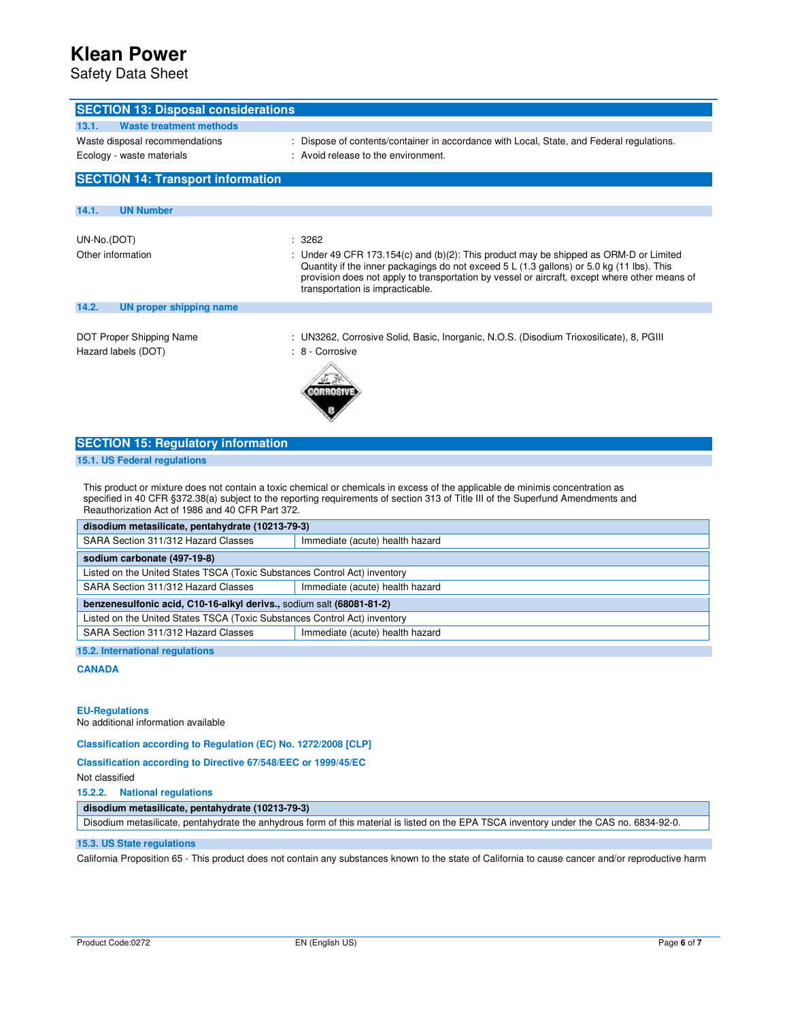Safety Data Sheet

| <b>SECTION 13: Disposal considerations</b>       |                                                                                                                                                                                                                                                                                                                           |
|--------------------------------------------------|---------------------------------------------------------------------------------------------------------------------------------------------------------------------------------------------------------------------------------------------------------------------------------------------------------------------------|
| 13.1.<br>Waste treatment methods                 |                                                                                                                                                                                                                                                                                                                           |
| Waste disposal recommendations                   | Dispose of contents/container in accordance with Local, State, and Federal regulations.                                                                                                                                                                                                                                   |
| Ecology - waste materials                        | : Avoid release to the environment.                                                                                                                                                                                                                                                                                       |
|                                                  |                                                                                                                                                                                                                                                                                                                           |
| <b>SECTION 14: Transport information</b>         |                                                                                                                                                                                                                                                                                                                           |
| 14.1.<br><b>UN Number</b>                        |                                                                                                                                                                                                                                                                                                                           |
|                                                  |                                                                                                                                                                                                                                                                                                                           |
| UN-No.(DOT)                                      | : 3262                                                                                                                                                                                                                                                                                                                    |
| Other information                                | Under 49 CFR 173.154(c) and (b)(2): This product may be shipped as ORM-D or Limited<br>Quantity if the inner packagings do not exceed $5 L (1.3$ gallons) or $5.0$ kg (11 lbs). This<br>provision does not apply to transportation by vessel or aircraft, except where other means of<br>transportation is impracticable. |
| 14.2.<br><b>UN proper shipping name</b>          |                                                                                                                                                                                                                                                                                                                           |
| DOT Proper Shipping Name<br>Hazard labels (DOT)  | : UN3262, Corrosive Solid, Basic, Inorganic, N.O.S. (Disodium Trioxosilicate), 8, PGIII<br>: 8 - Corrosive                                                                                                                                                                                                                |
| <b>SECTION 15: Regulatory information</b>        |                                                                                                                                                                                                                                                                                                                           |
| 15.1. US Federal regulations                     |                                                                                                                                                                                                                                                                                                                           |
| Reauthorization Act of 1986 and 40 CFR Part 372. | This product or mixture does not contain a toxic chemical or chemicals in excess of the applicable de minimis concentration as<br>specified in 40 CFR §372.38(a) subject to the reporting requirements of section 313 of Title III of the Superfund Amendments and                                                        |

| disodium metasilicate, pentahydrate (10213-79-3)                          |                                 |  |
|---------------------------------------------------------------------------|---------------------------------|--|
| SARA Section 311/312 Hazard Classes                                       | Immediate (acute) health hazard |  |
| sodium carbonate (497-19-8)                                               |                                 |  |
| Listed on the United States TSCA (Toxic Substances Control Act) inventory |                                 |  |
| SARA Section 311/312 Hazard Classes                                       | Immediate (acute) health hazard |  |
| benzenesulfonic acid, C10-16-alkyl derivs., sodium salt (68081-81-2)      |                                 |  |
| Listed on the United States TSCA (Toxic Substances Control Act) inventory |                                 |  |
| SARA Section 311/312 Hazard Classes                                       | Immediate (acute) health hazard |  |
| 15.0 Intovnotional voquintiana                                            |                                 |  |

**15.2. International regulations** 

## **CANADA**

### **EU-Regulations**

No additional information available

**Classification according to Regulation (EC) No. 1272/2008 [CLP]** 

### **Classification according to Directive 67/548/EEC or 1999/45/EC**

Not classified

**15.2.2. National regulations** 

## **disodium metasilicate, pentahydrate (10213-79-3)**

Disodium metasilicate, pentahydrate the anhydrous form of this material is listed on the EPA TSCA inventory under the CAS no. 6834-92-0.

### **15.3. US State regulations**

California Proposition 65 - This product does not contain any substances known to the state of California to cause cancer and/or reproductive harm